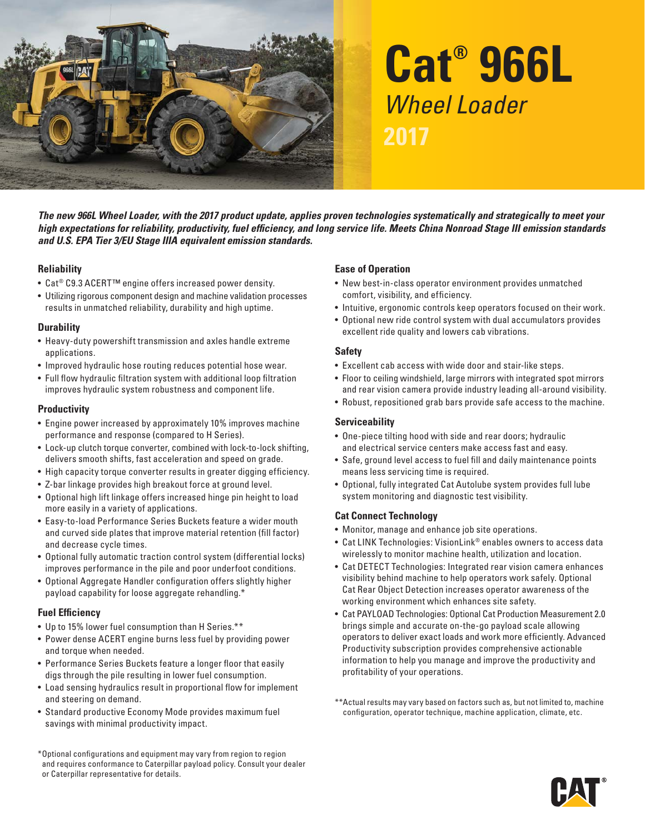

# **Cat® 966L**  Wheel Loader **2017**

*The new 966L Wheel Loader, with the 2017 product update, applies proven technologies systematically and strategically to meet your high expectations for reliability, productivity, fuel efficiency, and long service life. Meets China Nonroad Stage III emission standards and U.S. EPA Tier 3/EU Stage IIIA equivalent emission standards.* 

#### **Reliability**

- Cat<sup>®</sup> C9.3 ACERT<sup>™</sup> engine offers increased power density.
- Utilizing rigorous component design and machine validation processes results in unmatched reliability, durability and high uptime.

#### **Durability**

- Heavy-duty powershift transmission and axles handle extreme applications.
- Improved hydraulic hose routing reduces potential hose wear.
- • Full flow hydraulic filtration system with additional loop filtration improves hydraulic system robustness and component life.

#### **Productivity**

- Engine power increased by approximately 10% improves machine per formance and response (compared to H Series).
- Lock-up clutch torque converter, combined with lock-to-lock shifting, delivers smooth shifts, fast acceleration and speed on grade.
- High capacity torque converter results in greater digging efficiency.
- Z-bar linkage provides high breakout force at ground level.
- Optional high lift linkage offers increased hinge pin height to load more easily in a variety of applications.
- Easy-to-load Performance Series Buckets feature a wider mouth and curved side plates that improve material retention (fill factor) and decrease cycle times.
- Optional fully automatic traction control system (differential locks) improves performance in the pile and poor underfoot conditions.
- Optional Aggregate Handler configuration offers slightly higher payload capability for loose aggregate rehandling.\*

#### **Fuel Efficiency**

- Up to 15% lower fuel consumption than H Series.\*\*
- Power dense ACERT engine burns less fuel by providing power and torque when needed.
- Performance Series Buckets feature a longer floor that easily digs through the pile resulting in lower fuel consumption.
- Load sensing hydraulics result in proportional flow for implement and steering on demand.
- Standard productive Economy Mode provides maximum fuel savings with minimal productivity impact.

\*Optional configurations and equipment may var y from region to region and requires conformance to Caterpillar payload policy. Consult your dealer or Caterpillar representative for details.

### **Ease of Operation**

- New best-in-class operator environment provides unmatched comfort, visibility, and efficiency.
- Intuitive, ergonomic controls keep operators focused on their work.
- Optional new ride control system with dual accumulators provides excellent ride quality and lowers cab vibrations.

#### **Safety**

- E xcellent cab access with wide door and stair-like steps.
- Floor to ceiling windshield, large mirrors with integrated spot mirrors and rear vision camera provide industry leading all-around visibility.
- Robust, repositioned grab bars provide safe access to the machine.

### **Serviceability**

- One-piece tilting hood with side and rear doors; hydraulic and electrical service centers make access fast and easy.
- Safe, ground level access to fuel fill and daily maintenance points means less ser vicing time is required.
- Optional, fully integrated Cat Autolube system provides full lube system monitoring and diagnostic test visibility.

### **Cat Connect Technology**

- Monitor, manage and enhance job site operations.
- Cat LINK Technologies: VisionLink® enables owners to access data wirelessly to monitor machine health, utilization and location.
- Cat DETECT Technologies: Integrated rear vision camera enhances visibility behind machine to help operators work safely. Optional Cat Rear Object Detection increases operator awareness of the working environment which enhances site safety.
- Cat PAYLOAD Technologies: Optional Cat Production Measurement 2.0 brings simple and accurate on-the-go payload scale allowing operators to deliver exact loads and work more ef ficiently. Advanced Productivity subscription provides comprehensive actionable information to help you manage and improve the productivity and profitability of your operations.
- \* \*Actual results may var y based on factors such as, but not limited to, machine configuration, operator technique, machine application, climate, etc.